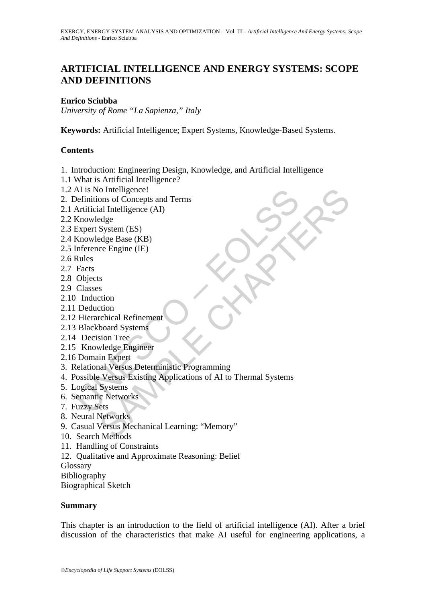# **ARTIFICIAL INTELLIGENCE AND ENERGY SYSTEMS: SCOPE AND DEFINITIONS**

#### **Enrico Sciubba**

*University of Rome "La Sapienza," Italy* 

**Keywords:** Artificial Intelligence; Expert Systems, Knowledge-Based Systems.

#### **Contents**

- 1. Introduction: Engineering Design, Knowledge, and Artificial Intelligence
- 1.1 What is Artificial Intelligence?
- 1.2 AI is No Intelligence!
- 2. Definitions of Concepts and Terms
- 2.1 Artificial Intelligence (AI)
- 2.2 Knowledge
- 2.3 Expert System (ES)
- 2.4 Knowledge Base (KB)
- 2.5 Inference Engine (IE)
- 2.6 Rules
- 2.7 Facts
- 2.8 Objects
- 2.9 Classes
- 2.10 Induction
- 2.11 Deduction
- 2.12 Hierarchical Refinement
- 2.13 Blackboard Systems
- 2.14 Decision Tree
- 2.15 Knowledge Engineer
- 2.16 Domain Expert
- 3. Relational Versus Deterministic Programming
- Al is No Intelligence!<br>
Actinions of Concepts and Terms<br>
Artificial Intelligence (AI)<br>
Artificial Intelligence (AI)<br>
Knowledge Base (KB)<br>
Knowledge Base (KB)<br>
Inference Engine (IE)<br>
Facts<br>
Objects<br>
Classes<br>
Objects<br>
Classe SAMPLE CHAPTERS 4. Possible Versus Existing Applications of AI to Thermal Systems
- 5. Logical Systems
- 6. Semantic Networks
- 7. Fuzzy Sets
- 8. Neural Networks
- 9. Casual Versus Mechanical Learning: "Memory"
- 10. Search Methods
- 11. Handling of Constraints
- 12. Qualitative and Approximate Reasoning: Belief

Glossary

Bibliography

Biographical Sketch

#### **Summary**

This chapter is an introduction to the field of artificial intelligence (AI). After a brief discussion of the characteristics that make AI useful for engineering applications, a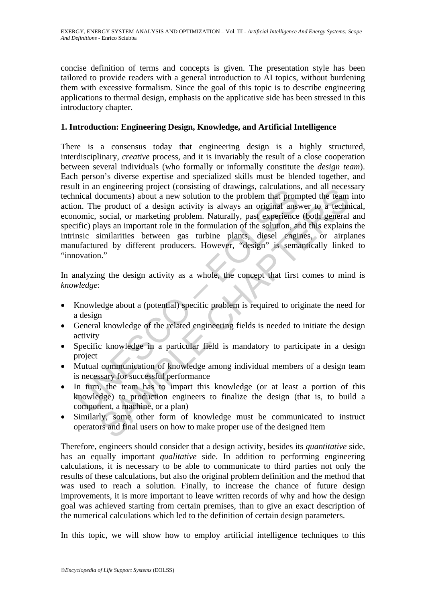concise definition of terms and concepts is given. The presentation style has been tailored to provide readers with a general introduction to AI topics, without burdening them with excessive formalism. Since the goal of this topic is to describe engineering applications to thermal design, emphasis on the applicative side has been stressed in this introductory chapter.

## **1. Introduction: Engineering Design, Knowledge, and Artificial Intelligence**

in an engineering project (consisting of an away is cacculations), and incidential documents) about a new solution to the problem that prom<br>anical documents) about a new solution to the problem that prom<br>on. The product of Function solution to the problem that prompted the team<br>incomments) about a new solution to the problem that prompted the team<br>social, or marketing problem. Naturally, past experience (both general<br>algo san important role There is a consensus today that engineering design is a highly structured, interdisciplinary, *creative* process, and it is invariably the result of a close cooperation between several individuals (who formally or informally constitute the *design team*). Each person's diverse expertise and specialized skills must be blended together, and result in an engineering project (consisting of drawings, calculations, and all necessary technical documents) about a new solution to the problem that prompted the team into action. The product of a design activity is always an original answer to a technical, economic, social, or marketing problem. Naturally, past experience (both general and specific) plays an important role in the formulation of the solution, and this explains the intrinsic similarities between gas turbine plants, diesel engines, or airplanes manufactured by different producers. However, "design" is semantically linked to "innovation."

In analyzing the design activity as a whole, the concept that first comes to mind is *knowledge*:

- Knowledge about a (potential) specific problem is required to originate the need for a design
- General knowledge of the related engineering fields is needed to initiate the design activity
- Specific knowledge in a particular field is mandatory to participate in a design project
- Mutual communication of knowledge among individual members of a design team is necessary for successful performance
- In turn, the team has to impart this knowledge (or at least a portion of this knowledge) to production engineers to finalize the design (that is, to build a component, a machine, or a plan)
- Similarly, some other form of knowledge must be communicated to instruct operators and final users on how to make proper use of the designed item

Therefore, engineers should consider that a design activity, besides its *quantitative* side, has an equally important *qualitative* side. In addition to performing engineering calculations, it is necessary to be able to communicate to third parties not only the results of these calculations, but also the original problem definition and the method that was used to reach a solution. Finally, to increase the chance of future design improvements, it is more important to leave written records of why and how the design goal was achieved starting from certain premises, than to give an exact description of the numerical calculations which led to the definition of certain design parameters.

In this topic, we will show how to employ artificial intelligence techniques to this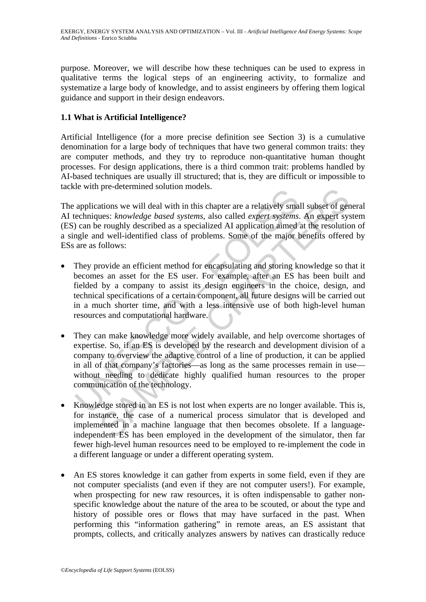purpose. Moreover, we will describe how these techniques can be used to express in qualitative terms the logical steps of an engineering activity, to formalize and systematize a large body of knowledge, and to assist engineers by offering them logical guidance and support in their design endeavors.

## **1.1 What is Artificial Intelligence?**

Artificial Intelligence (for a more precise definition see Section 3) is a cumulative denomination for a large body of techniques that have two general common traits: they are computer methods, and they try to reproduce non-quantitative human thought processes. For design applications, there is a third common trait: problems handled by AI-based techniques are usually ill structured; that is, they are difficult or impossible to tackle with pre-determined solution models.

The applications we will deal with in this chapter are a relatively small subset of general AI techniques: *knowledge based systems*, also called *expert systems*. An expert system (ES) can be roughly described as a specialized AI application aimed at the resolution of a single and well-identified class of problems. Some of the major benefits offered by ESs are as follows:

- They provide an efficient method for encapsulating and storing knowledge so that it becomes an asset for the ES user. For example, after an ES has been built and fielded by a company to assist its design engineers in the choice, design, and technical specifications of a certain component, all future designs will be carried out in a much shorter time, and with a less intensive use of both high-level human resources and computational hardware.
- applications we will deal with in this chapter are a relatively small applications we will deal with in this chapter are a relatively small echromiques: *knowledge based systems*, also called *expert systems*, Can be rough pre-ueternmed solution inodes.<br>
utions we will deal with in this chapter are a relatively small subset of ger<br>
ues: *knowledge based systems*, also called *expert systems*. An expert system<br>
is roughly described as a speci • They can make knowledge more widely available, and help overcome shortages of expertise. So, if an ES is developed by the research and development division of a company to overview the adaptive control of a line of production, it can be applied in all of that company's factories—as long as the same processes remain in use without needing to dedicate highly qualified human resources to the proper communication of the technology.
- Knowledge stored in an ES is not lost when experts are no longer available. This is, for instance, the case of a numerical process simulator that is developed and implemented in a machine language that then becomes obsolete. If a languageindependent ES has been employed in the development of the simulator, then far fewer high-level human resources need to be employed to re-implement the code in a different language or under a different operating system.
- An ES stores knowledge it can gather from experts in some field, even if they are not computer specialists (and even if they are not computer users!). For example, when prospecting for new raw resources, it is often indispensable to gather nonspecific knowledge about the nature of the area to be scouted, or about the type and history of possible ores or flows that may have surfaced in the past. When performing this "information gathering" in remote areas, an ES assistant that prompts, collects, and critically analyzes answers by natives can drastically reduce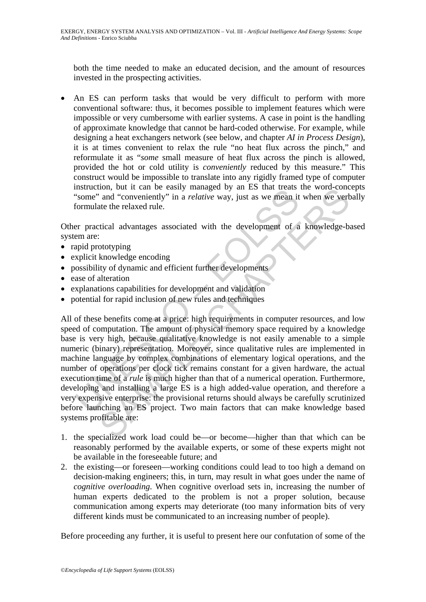both the time needed to make an educated decision, and the amount of resources invested in the prospecting activities.

• An ES can perform tasks that would be very difficult to perform with more conventional software: thus, it becomes possible to implement features which were impossible or very cumbersome with earlier systems. A case in point is the handling of approximate knowledge that cannot be hard-coded otherwise. For example, while designing a heat exchangers network (see below, and chapter *AI in Process Design*), it is at times convenient to relax the rule "no heat flux across the pinch," and reformulate it as "*some* small measure of heat flux across the pinch is allowed, provided the hot or cold utility is *conveniently* reduced by this measure." This construct would be impossible to translate into any rigidly framed type of computer instruction, but it can be easily managed by an ES that treats the word-concepts "some" and "conveniently" in a *relative* way, just as we mean it when we verbally formulate the relaxed rule.

Other practical advantages associated with the development of a knowledge-based system are:

- rapid prototyping
- explicit knowledge encoding
- possibility of dynamic and efficient further developments
- ease of alteration
- explanations capabilities for development and validation
- potential for rapid inclusion of new rules and techniques

usiant to the air of easily managed by an ES that theats<br>
"some" and "conveniently" in a *relative* way, just as we mean it<br>
"some" and "conveniently" in a *relative* way, just as we mean it<br>
formulate the relaxed rule.<br> noto, out it can be easily managed by an ES that treas the word-concerned and "conveniently" in a *relative* way, just as we mean it when we vert<br>and "conveniently" in a *relative* way, just as we mean it when we vert<br>atte All of these benefits come at a price: high requirements in computer resources, and low speed of computation. The amount of physical memory space required by a knowledge base is very high, because qualitative knowledge is not easily amenable to a simple numeric (binary) representation. Moreover, since qualitative rules are implemented in machine language by complex combinations of elementary logical operations, and the number of operations per clock tick remains constant for a given hardware, the actual execution time of a *rule* is much higher than that of a numerical operation. Furthermore, developing and installing a large ES is a high added-value operation, and therefore a very expensive enterprise: the provisional returns should always be carefully scrutinized before launching an ES project. Two main factors that can make knowledge based systems profitable are:

- 1. the specialized work load could be—or become—higher than that which can be reasonably performed by the available experts, or some of these experts might not be available in the foreseeable future; and
- 2. the existing—or foreseen—working conditions could lead to too high a demand on decision-making engineers; this, in turn, may result in what goes under the name of *cognitive overloading*. When cognitive overload sets in, increasing the number of human experts dedicated to the problem is not a proper solution, because communication among experts may deteriorate (too many information bits of very different kinds must be communicated to an increasing number of people).

Before proceeding any further, it is useful to present here our confutation of some of the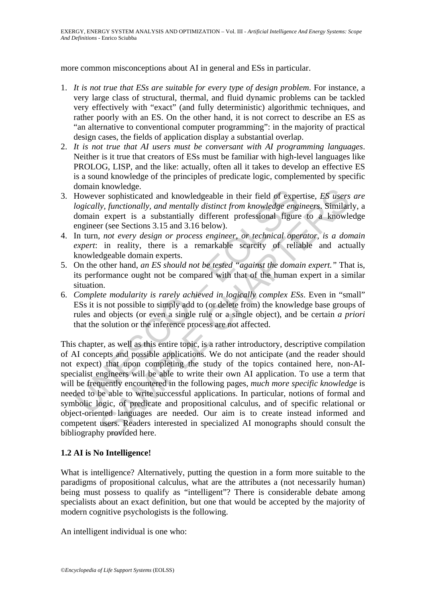more common misconceptions about AI in general and ESs in particular.

- 1. *It is not true that ESs are suitable for every type of design problem*. For instance, a very large class of structural, thermal, and fluid dynamic problems can be tackled very effectively with "exact" (and fully deterministic) algorithmic techniques, and rather poorly with an ES. On the other hand, it is not correct to describe an ES as "an alternative to conventional computer programming": in the majority of practical design cases, the fields of application display a substantial overlap.
- 2. *It is not true that AI users must be conversant with AI programming languages*. Neither is it true that creators of ESs must be familiar with high-level languages like PROLOG, LISP, and the like: actually, often all it takes to develop an effective ES is a sound knowledge of the principles of predicate logic, complemented by specific domain knowledge.
- 3. However sophisticated and knowledgeable in their field of expertise, *ES users are logically, functionally, and mentally distinct from knowledge engineers*. Similarly, a domain expert is a substantially different professional figure to a knowledge engineer (see Sections 3.15 and 3.16 below).
- 4. In turn, *not every design or process engineer, or technical operator, is a domain expert*: in reality, there is a remarkable scarcity of reliable and actually knowledgeable domain experts.
- 5. On the other hand, *an ES should not be tested "against the domain expert."* That is, its performance ought not be compared with that of the human expert in a similar situation.
- 6. *Complete modularity is rarely achieved in logically complex ESs*. Even in "small" ESs it is not possible to simply add to (or delete from) the knowledge base groups of rules and objects (or even a single rule or a single object), and be certain *a priori* that the solution or the inference process are not affected.

From an anowancy and knowledgeable in their field of experimental<br>Mowever sophisticated and knowledgeable in their field of experior logically, functionally, and mentally distinct from knowledge engtomain expert is a subs Nowease.<br>
Knowlenges and mowledgeable in their field of expertise, *ES* users<br>
by, functionally, and mentally distinct from knowledge engineers. Similar<br>
1 expert is a substantially different professional figure to a know This chapter, as well as this entire topic, is a rather introductory, descriptive compilation of AI concepts and possible applications. We do not anticipate (and the reader should not expect) that upon completing the study of the topics contained here, non-AIspecialist engineers will be able to write their own AI application. To use a term that will be frequently encountered in the following pages, *much more specific knowledge* is needed to be able to write successful applications. In particular, notions of formal and symbolic logic, of predicate and propositional calculus, and of specific relational or object-oriented languages are needed. Our aim is to create instead informed and competent users. Readers interested in specialized AI monographs should consult the bibliography provided here.

## **1.2 AI is No Intelligence!**

What is intelligence? Alternatively, putting the question in a form more suitable to the paradigms of propositional calculus, what are the attributes a (not necessarily human) being must possess to qualify as "intelligent"? There is considerable debate among specialists about an exact definition, but one that would be accepted by the majority of modern cognitive psychologists is the following.

An intelligent individual is one who: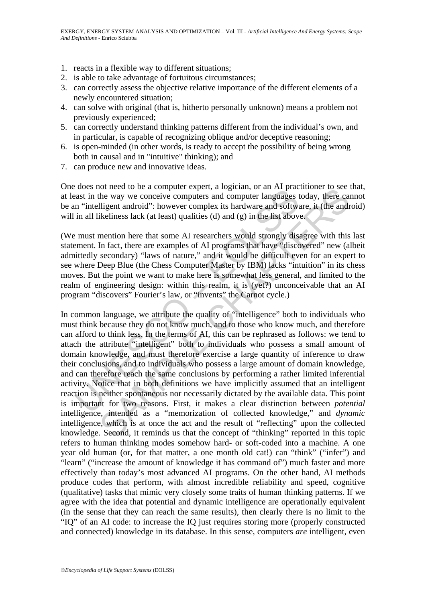- 1. reacts in a flexible way to different situations;
- 2. is able to take advantage of fortuitous circumstances;
- 3. can correctly assess the objective relative importance of the different elements of a newly encountered situation;
- 4. can solve with original (that is, hitherto personally unknown) means a problem not previously experienced;
- 5. can correctly understand thinking patterns different from the individual's own, and in particular, is capable of recognizing oblique and/or deceptive reasoning;
- 6. is open-minded (in other words, is ready to accept the possibility of being wrong both in causal and in "intuitive" thinking); and
- 7. can produce new and innovative ideas.

One does not need to be a computer expert, a logician, or an AI practitioner to see that, at least in the way we conceive computers and computer languages today, there cannot be an "intelligent android": however complex its hardware and software, it (the android) will in all likeliness lack (at least) qualities (d) and (g) in the list above.

(We must mention here that some AI researchers would strongly disagree with this last statement. In fact, there are examples of AI programs that have "discovered" new (albeit admittedly secondary) "laws of nature," and it would be difficult even for an expert to see where Deep Blue (the Chess Computer Master by IBM) lacks "intuition" in its chess moves. But the point we want to make here is somewhat less general, and limited to the realm of engineering design: within this realm, it is (yet?) unconceivable that an AI program "discovers" Fourier's law, or "invents" the Carnot cycle.)

because to be a complete respect, a logarian, or an *i*-n practical and the way we once<br>ive computers and computer languages in "the matrice of the way we conceive computers and computer languages in "intelligent android" of theet to be a computer expert, a fogicial, of a m Ar pactuother to see<br>the way we conceive computers and computer languages today, there can<br>ligent android": however complex its hardware and software, it (the and<br>ikelin In common language, we attribute the quality of "intelligence" both to individuals who must think because they do not know much, and to those who know much, and therefore can afford to think less. In the terms of AI, this can be rephrased as follows: we tend to attach the attribute "intelligent" both to individuals who possess a small amount of domain knowledge, and must therefore exercise a large quantity of inference to draw their conclusions, and to individuals who possess a large amount of domain knowledge, and can therefore reach the same conclusions by performing a rather limited inferential activity. Notice that in both definitions we have implicitly assumed that an intelligent reaction is neither spontaneous nor necessarily dictated by the available data. This point is important for two reasons. First, it makes a clear distinction between *potential* intelligence, intended as a "memorization of collected knowledge," and *dynamic* intelligence, which is at once the act and the result of "reflecting" upon the collected knowledge. Second, it reminds us that the concept of "thinking" reported in this topic refers to human thinking modes somehow hard- or soft-coded into a machine. A one year old human (or, for that matter, a one month old cat!) can "think" ("infer") and "learn" ("increase the amount of knowledge it has command of") much faster and more effectively than today's most advanced AI programs. On the other hand, AI methods produce codes that perform, with almost incredible reliability and speed, cognitive (qualitative) tasks that mimic very closely some traits of human thinking patterns. If we agree with the idea that potential and dynamic intelligence are operationally equivalent (in the sense that they can reach the same results), then clearly there is no limit to the "IQ" of an AI code: to increase the IQ just requires storing more (properly constructed and connected) knowledge in its database. In this sense, computers *are* intelligent, even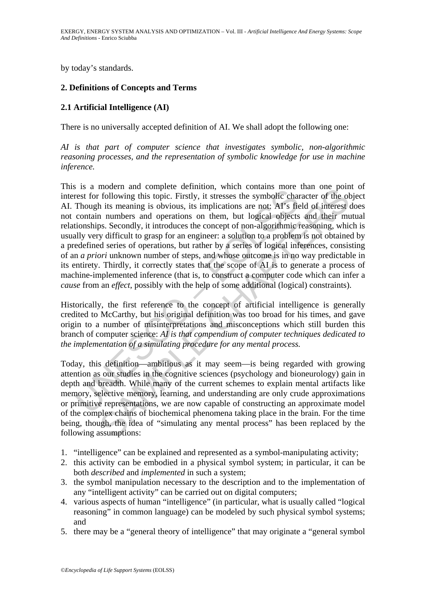by today's standards.

### **2. Definitions of Concepts and Terms**

### **2.1 Artificial Intelligence (AI)**

There is no universally accepted definition of AI. We shall adopt the following one:

*AI is that part of computer science that investigates symbolic, non-algorithmic reasoning processes, and the representation of symbolic knowledge for use in machine inference.* 

is a modern and complete derimino, when commans more<br>are for following this topic. Firstly, it stresses the symbolic chan<br>Though its meaning is obvious, its implications are not: AI's fie<br>contain numbers and operations on monetal and complete enterminol, wind contains inforce and one point<br>following this topic. Firstly, it stresses the symbolic character of the ob-<br>the is meaning is obvious, its implications are not: AP's field of interest This is a modern and complete definition, which contains more than one point of interest for following this topic. Firstly, it stresses the symbolic character of the object AI. Though its meaning is obvious, its implications are not: AI's field of interest does not contain numbers and operations on them, but logical objects and their mutual relationships. Secondly, it introduces the concept of non-algorithmic reasoning, which is usually very difficult to grasp for an engineer: a solution to a problem is not obtained by a predefined series of operations, but rather by a series of logical inferences, consisting of an *a priori* unknown number of steps, and whose outcome is in no way predictable in its entirety. Thirdly, it correctly states that the scope of AI is to generate a process of machine-implemented inference (that is, to construct a computer code which can infer a *cause* from an *effect*, possibly with the help of some additional (logical) constraints).

Historically, the first reference to the concept of artificial intelligence is generally credited to McCarthy, but his original definition was too broad for his times, and gave origin to a number of misinterpretations and misconceptions which still burden this branch of computer science: *AI is that compendium of computer techniques dedicated to the implementation of a simulating procedure for any mental process.* 

Today, this definition—ambitious as it may seem—is being regarded with growing attention as our studies in the cognitive sciences (psychology and bioneurology) gain in depth and breadth. While many of the current schemes to explain mental artifacts like memory, selective memory, learning, and understanding are only crude approximations or primitive representations, we are now capable of constructing an approximate model of the complex chains of biochemical phenomena taking place in the brain. For the time being, though, the idea of "simulating any mental process" has been replaced by the following assumptions:

- 1. "intelligence" can be explained and represented as a symbol-manipulating activity;
- 2. this activity can be embodied in a physical symbol system; in particular, it can be both *described* and *implemented* in such a system;
- 3. the symbol manipulation necessary to the description and to the implementation of any "intelligent activity" can be carried out on digital computers;
- 4. various aspects of human "intelligence" (in particular, what is usually called "logical reasoning" in common language) can be modeled by such physical symbol systems; and
- 5. there may be a "general theory of intelligence" that may originate a "general symbol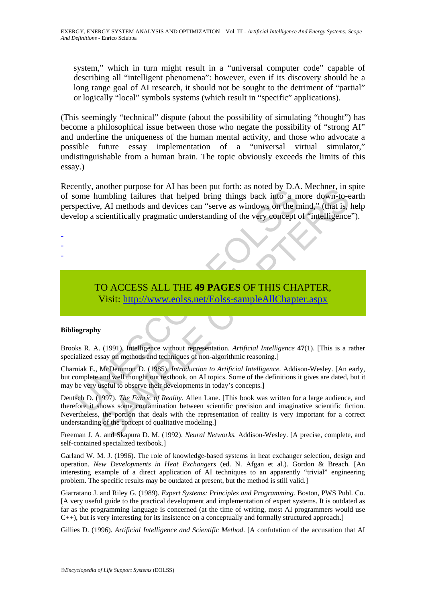system," which in turn might result in a "universal computer code" capable of describing all "intelligent phenomena": however, even if its discovery should be a long range goal of AI research, it should not be sought to the detriment of "partial" or logically "local" symbols systems (which result in "specific" applications).

(This seemingly "technical" dispute (about the possibility of simulating "thought") has become a philosophical issue between those who negate the possibility of "strong AI" and underline the uniqueness of the human mental activity, and those who advocate a possible future essay implementation of a "universal virtual simulator," undistinguishable from a human brain. The topic obviously exceeds the limits of this essay.)

The momentum bing failures that helped bring things back into a momentum bing failures that helped bring things back into a metric expective, AI methods and devices can "serve as windows on the nelop a scientifically pragm momen pupose for Ari nas been put fourth. as follows the member, in streament, the<br>tumbling failures that helped bring things back into a more down-to-e<br>e, AI methods and devices can "serve as windows on the mind," (that i Recently, another purpose for AI has been put forth: as noted by D.A. Mechner, in spite of some humbling failures that helped bring things back into a more down-to-earth perspective, AI methods and devices can "serve as windows on the mind," (that is, help develop a scientifically pragmatic understanding of the very concept of "intelligence").

- -
- -

# TO ACCESS ALL THE **49 PAGES** OF THIS CHAPTER, Visit: http://www.eolss.net/Eolss-sampleAllChapter.aspx

#### **Bibliography**

Brooks R. A. (1991). Intelligence without representation. *Artificial Intelligence* **47**(1). [This is a rather specialized essay on methods and techniques of non-algorithmic reasoning.]

Charniak E., McDemmott D. (1985). *Introduction to Artificial Intelligence*. Addison-Wesley. [An early, but complete and well thought out textbook, on AI topics. Some of the definitions it gives are dated, but it may be very useful to observe their developments in today's concepts.]

Deutsch D. (1997). *The Fabric of Reality*. Allen Lane. [This book was written for a large audience, and therefore it shows some contamination between scientific precision and imaginative scientific fiction. Nevertheless, the portion that deals with the representation of reality is very important for a correct understanding of the concept of qualitative modeling.]

Freeman J. A. and Skapura D. M. (1992). *Neural Networks.* Addison-Wesley. [A precise, complete, and self-contained specialized textbook.]

Garland W. M. J. (1996). The role of knowledge-based systems in heat exchanger selection, design and operation. *New Developments in Heat Exchangers* (ed. N. Afgan et al.). Gordon & Breach. [An interesting example of a direct application of AI techniques to an apparently "trivial" engineering problem. The specific results may be outdated at present, but the method is still valid.]

Giarratano J. and Riley G. (1989). *Expert Systems: Principles and Programming.* Boston, PWS Publ. Co. [A very useful guide to the practical development and implementation of expert systems. It is outdated as far as the programming language is concerned (at the time of writing, most AI programmers would use C++), but is very interesting for its insistence on a conceptually and formally structured approach.]

Gillies D. (1996). *Artificial Intelligence and Scientific Method*. [A confutation of the accusation that AI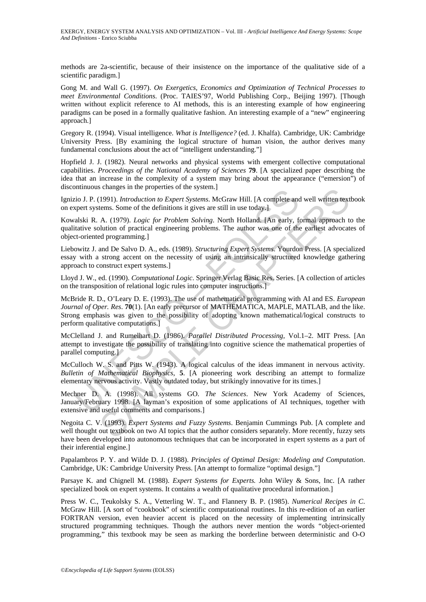methods are 2a-scientific, because of their insistence on the importance of the qualitative side of a scientific paradigm.]

Gong M. and Wall G. (1997). *On Exergetics, Economics and Optimization of Technical Processes to meet Environmental Conditions*. (Proc. TAIES'97, World Publishing Corp., Beijing 1997). [Though written without explicit reference to AI methods, this is an interesting example of how engineering paradigms can be posed in a formally qualitative fashion. An interesting example of a "new" engineering approach.]

Gregory R. (1994). Visual intelligence. *What is Intelligence?* (ed. J. Khalfa). Cambridge, UK: Cambridge University Press. [By examining the logical structure of human vision, the author derives many fundamental conclusions about the act of "intelligent understanding."]

Hopfield J. J. (1982). Neural networks and physical systems with emergent collective computational capabilities. *Proceedings of the National Academy of Sciences* **79**. [A specialized paper describing the idea that an increase in the complexity of a system may bring about the appearance ("emersion") of discontinuous changes in the properties of the system.]

Ignizio J. P. (1991). *Introduction to Expert Systems*. McGraw Hill. [A complete and well written textbook on expert systems. Some of the definitions it gives are still in use today.]

Kowalski R. A. (1979). *Logic for Problem Solving*. North Holland. [An early, formal approach to the qualitative solution of practical engineering problems. The author was one of the earliest advocates of object-oriented programming.]

Liebowitz J. and De Salvo D. A., eds. (1989). *Structuring Expert Systems*. Yourdon Press. [A specialized essay with a strong accent on the necessity of using an intrinsically structured knowledge gathering approach to construct expert systems.]

Lloyd J. W., ed. (1990). *Computational Logic*. Springer Verlag Basic Res. Series. [A collection of articles on the transposition of relational logic rules into computer instructions.]

mindota changes in the properties or the system.]<br>
io 1.P. (1991). *Introduction to Expert Systems*. McGraw Hill. [A complete and<br>
prepr systems. Some of the definitions it gives are still in use today.]<br>
alski R. A. (1979 stanges in the properties of the system.]<br>
(1991). *Introduction to Expert Systems*. McGraw Hill. [A complete and well written text<br>
terms. Some of the definitions it gives are still in use today.]<br>
A. (1979). *Logic for* McBride R. D., O'Leary D. E. (1993). The use of mathematical programming with AI and ES. *European Journal of Oper. Res*. **70**(1). [An early precursor of MATHEMATICA, MAPLE, MATLAB, and the like. Strong emphasis was given to the possibility of adopting known mathematical/logical constructs to perform qualitative computations.]

McClelland J. and Rumelhart D. (1986). *Parallel Distributed Processing,* Vol.1–2. MIT Press. [An attempt to investigate the possibility of translating into cognitive science the mathematical properties of parallel computing.]

McCulloch W. S. and Pitts W. (1943). A logical calculus of the ideas immanent in nervous activity*. Bulletin of Mathematical Biophysics*, **5**. [A pioneering work describing an attempt to formalize elementary nervous activity. Vastly outdated today, but strikingly innovative for its times.]

Mechner D. A. (1998). All systems GO. *The Sciences*. New York Academy of Sciences, January/February 1998. [A layman's exposition of some applications of AI techniques, together with extensive and useful comments and comparisons.]

Negoita C. V. (1993). *Expert Systems and Fuzzy Systems*. Benjamin Cummings Pub. [A complete and well thought out textbook on two AI topics that the author considers separately. More recently, fuzzy sets have been developed into autonomous techniques that can be incorporated in expert systems as a part of their inferential engine.]

Papalambros P. Y. and Wilde D. J. (1988). *Principles of Optimal Design: Modeling and Computation*. Cambridge, UK: Cambridge University Press. [An attempt to formalize "optimal design."]

Parsaye K. and Chignell M. (1988). *Expert Systems for Experts.* John Wiley & Sons, Inc. [A rather specialized book on expert systems. It contains a wealth of qualitative procedural information.]

Press W. C., Teukolsky S. A., Vetterling W. T., and Flannery B. P. (1985). *Numerical Recipes in C*. McGraw Hill. [A sort of "cookbook" of scientific computational routines. In this re-edition of an earlier FORTRAN version, even heavier accent is placed on the necessity of implementing intrinsically structured programming techniques. Though the authors never mention the words "object-oriented programming," this textbook may be seen as marking the borderline between deterministic and O-O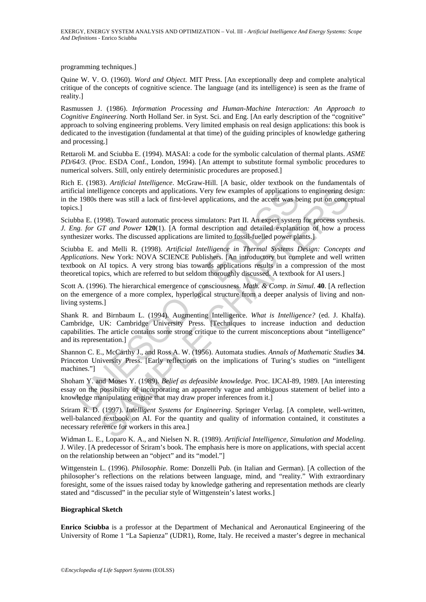programming techniques.]

Quine W. V. O. (1960). *Word and Object*. MIT Press. [An exceptionally deep and complete analytical critique of the concepts of cognitive science. The language (and its intelligence) is seen as the frame of reality.]

Rasmussen J. (1986). *Information Processing and Human-Machine Interaction: An Approach to Cognitive Engineering.* North Holland Ser. in Syst. Sci. and Eng. [An early description of the "cognitive" approach to solving engineering problems. Very limited emphasis on real design applications: this book is dedicated to the investigation (fundamental at that time) of the guiding principles of knowledge gathering and processing.]

Rettaroli M. and Sciubba E. (1994). MASAI: a code for the symbolic calculation of thermal plants. *ASME PD/64/3*. (Proc. ESDA Conf., London, 1994). [An attempt to substitute formal symbolic procedures to numerical solvers. Still, only entirely deterministic procedures are proposed.]

Rich E. (1983). *Artificial Intelligence*. McGraw-Hill. [A basic, older textbook on the fundamentals of artificial intelligence concepts and applications. Very few examples of applications to engineering design: in the 1980s there was still a lack of first-level applications, and the accent was being put on conceptual topics.]

Sciubba E. (1998). Toward automatic process simulators: Part II. An expert system for process synthesis. *J. Eng. for GT and Power* **120**(1). [A formal description and detailed explanation of how a process synthesizer works. The discussed applications are limited to fossil-fuelled power plants.]

cial intelligence concepts and applications. Very few examples of applications<br>
1870s there was still a lack of first-level applications, and the accent was be<br>
1980s there was still a lack of first-level applications, and lligence concepts and applications. Very few examples of applications to engineering de<br>there was still a lack of first-level applications, and the accent was being put on conce<br>1998). Toward automatic process simulators: Sciubba E. and Melli R. (1998). *Artificial Intelligence in Thermal Systems Design: Concepts and Applications*. New York: NOVA SCIENCE Publishers. [An introductory but complete and well written textbook on AI topics. A very strong bias towards applications results in a compression of the most theoretical topics, which are referred to but seldom thoroughly discussed. A textbook for AI users.]

Scott A. (1996). The hierarchical emergence of consciousness. *Math. & Comp. in Simul*. **40**. [A reflection on the emergence of a more complex, hyperlogical structure from a deeper analysis of living and nonliving systems.]

Shank R. and Birnbaum L. (1994). Augmenting Intelligence. *What is Intelligence?* (ed. J. Khalfa). Cambridge, UK: Cambridge University Press. [Techniques to increase induction and deduction capabilities. The article contains some strong critique to the current misconceptions about "intelligence" and its representation.]

Shannon C. E., McCarthy J., and Ross A. W. (1956). Automata studies. *Annals of Mathematic Studies* **34**. Princeton University Press. [Early reflections on the implications of Turing's studies on "intelligent machines."]

Shoham Y. and Moses Y. (1989). *Belief as defeasible knowledge.* Proc. IJCAI-89, 1989. [An interesting essay on the possibility of incorporating an apparently vague and ambiguous statement of belief into a knowledge manipulating engine that may draw proper inferences from it.]

Sriram R. D. (1997). *Intelligent Systems for Engineering*. Springer Verlag. [A complete, well-written, well-balanced textbook on AI. For the quantity and quality of information contained, it constitutes a necessary reference for workers in this area.]

Widman L. E., Loparo K. A., and Nielsen N. R. (1989). *Artificial Intelligence, Simulation and Modeling*. J. Wiley. [A predecessor of Sriram's book. The emphasis here is more on applications, with special accent on the relationship between an "object" and its "model."]

Wittgenstein L. (1996). *Philosophie*. Rome: Donzelli Pub. (in Italian and German). [A collection of the philosopher's reflections on the relations between language, mind, and "reality." With extraordinary foresight, some of the issues raised today by knowledge gathering and representation methods are clearly stated and "discussed" in the peculiar style of Wittgenstein's latest works.]

#### **Biographical Sketch**

**Enrico Sciubba** is a professor at the Department of Mechanical and Aeronautical Engineering of the University of Rome 1 "La Sapienza" (UDR1), Rome, Italy. He received a master's degree in mechanical